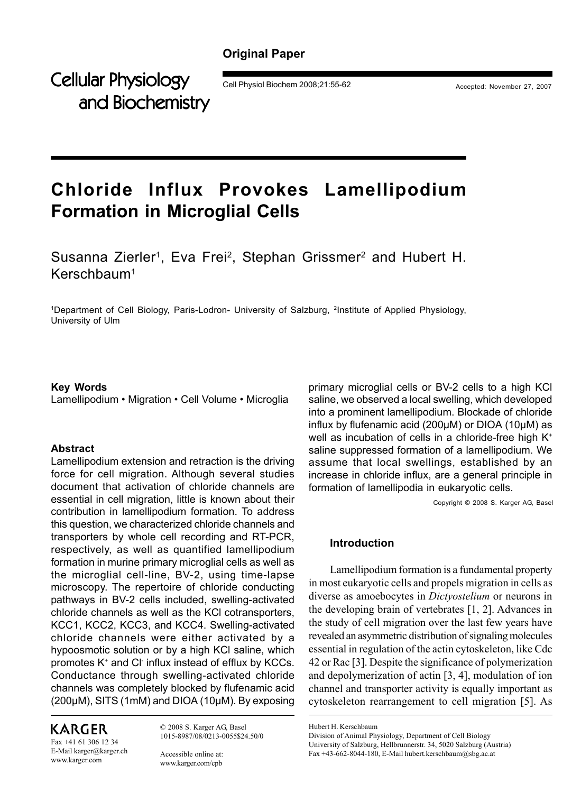## **Original Paper**

Cellular Physiology **Physiology** Cell Physiol Biochem 2008;21:55-62 Accepted: November 27, 2007 and Biochemistry

# **Chloride Influx Provokes Lamellipodium Formation in Microglial Cells**

Susanna Zierler<sup>1</sup>, Eva Frei<sup>2</sup>, Stephan Grissmer<sup>2</sup> and Hubert H. Kerschbaum1

1 Department of Cell Biology, Paris-Lodron- University of Salzburg, 2Institute of Applied Physiology, University of Ulm

#### **Key Words**

Lamellipodium • Migration • Cell Volume • Microglia

#### **Abstract**

Lamellipodium extension and retraction is the driving force for cell migration. Although several studies document that activation of chloride channels are essential in cell migration, little is known about their contribution in lamellipodium formation. To address this question, we characterized chloride channels and transporters by whole cell recording and RT-PCR, respectively, as well as quantified lamellipodium formation in murine primary microglial cells as well as the microglial cell-line, BV-2, using time-lapse microscopy. The repertoire of chloride conducting pathways in BV-2 cells included, swelling-activated chloride channels as well as the KCl cotransporters, KCC1, KCC2, KCC3, and KCC4. Swelling-activated chloride channels were either activated by a hypoosmotic solution or by a high KCl saline, which promotes K+ and Cl- influx instead of efflux by KCCs. Conductance through swelling-activated chloride channels was completely blocked by flufenamic acid (200µM), SITS (1mM) and DIOA (10µM). By exposing

## KARGER

Fax +41 61 306 12 34 E-Mail karger@karger.ch www.karger.com

© 2008 S. Karger AG, Basel 1015-8987/08/0213-0055\$24.50/0

Accessible online at: www.karger.com/cpb

primary microglial cells or BV-2 cells to a high KCl saline, we observed a local swelling, which developed into a prominent lamellipodium. Blockade of chloride influx by flufenamic acid (200µM) or DIOA (10µM) as well as incubation of cells in a chloride-free high K<sup>+</sup> saline suppressed formation of a lamellipodium. We assume that local swellings, established by an increase in chloride influx, are a general principle in formation of lamellipodia in eukaryotic cells.

Copyright © 2008 S. Karger AG, Basel

## **Introduction**

Lamellipodium formation is a fundamental property in most eukaryotic cells and propels migration in cells as diverse as amoebocytes in *Dictyostelium* or neurons in the developing brain of vertebrates [1, 2]. Advances in the study of cell migration over the last few years have revealed an asymmetric distribution of signaling molecules essential in regulation of the actin cytoskeleton, like Cdc 42 or Rac [3]. Despite the significance of polymerization and depolymerization of actin [3, 4], modulation of ion channel and transporter activity is equally important as cytoskeleton rearrangement to cell migration [5]. As

Hubert H. Kerschbaum

Division of Animal Physiology, Department of Cell Biology University of Salzburg, Hellbrunnerstr. 34, 5020 Salzburg (Austria) Fax +43-662-8044-180, E-Mail hubert.kerschbaum@sbg.ac.at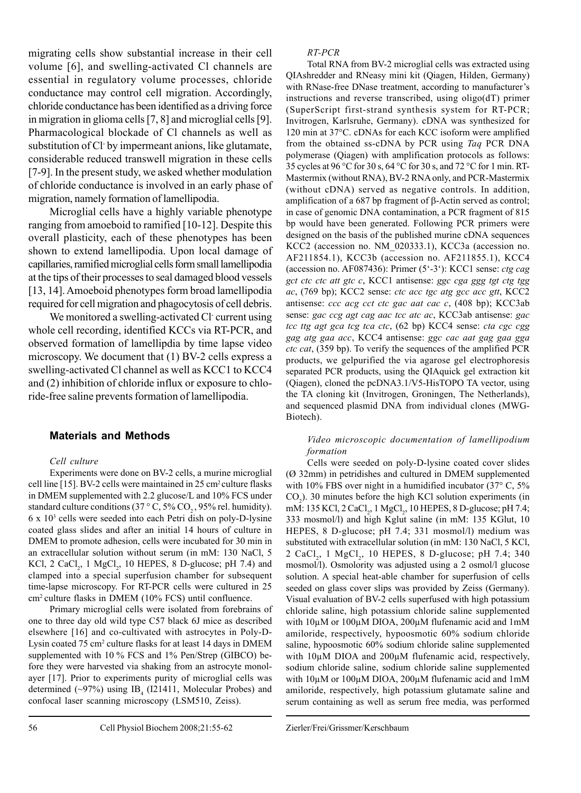migrating cells show substantial increase in their cell volume [6], and swelling-activated Cl channels are essential in regulatory volume processes, chloride conductance may control cell migration. Accordingly, chloride conductance has been identified as a driving force in migration in glioma cells [7, 8] and microglial cells [9]. Pharmacological blockade of Cl channels as well as substitution of Cl by impermeant anions, like glutamate, considerable reduced transwell migration in these cells [7-9]. In the present study, we asked whether modulation of chloride conductance is involved in an early phase of migration, namely formation of lamellipodia.

Microglial cells have a highly variable phenotype ranging from amoeboid to ramified [10-12]. Despite this overall plasticity, each of these phenotypes has been shown to extend lamellipodia. Upon local damage of capillaries, ramified microglial cells form small lamellipodia at the tips of their processes to seal damaged blood vessels [13, 14]. Amoeboid phenotypes form broad lamellipodia required for cell migration and phagocytosis of cell debris.

We monitored a swelling-activated Cl current using whole cell recording, identified KCCs via RT-PCR, and observed formation of lamellipdia by time lapse video microscopy. We document that (1) BV-2 cells express a swelling-activated Cl channel as well as KCC1 to KCC4 and (2) inhibition of chloride influx or exposure to chloride-free saline prevents formation of lamellipodia.

#### **Materials and Methods**

#### *Cell culture*

Experiments were done on BV-2 cells, a murine microglial cell line [15]. BV-2 cells were maintained in 25 cm<sup>2</sup> culture flasks in DMEM supplemented with 2.2 glucose/L and 10% FCS under standard culture conditions (37 ° C, 5% CO<sub>2</sub>, 95% rel. humidity). 6 x 103 cells were seeded into each Petri dish on poly-D-lysine coated glass slides and after an initial 14 hours of culture in DMEM to promote adhesion, cells were incubated for 30 min in an extracellular solution without serum (in mM: 130 NaCl, 5 KCl, 2 CaCl<sub>2</sub>, 1 MgCl<sub>2</sub>, 10 HEPES, 8 D-glucose; pH 7.4) and clamped into a special superfusion chamber for subsequent time-lapse microscopy. For RT-PCR cells were cultured in 25 cm2 culture flasks in DMEM (10% FCS) until confluence.

Primary microglial cells were isolated from forebrains of one to three day old wild type C57 black 6J mice as described elsewhere [16] and co-cultivated with astrocytes in Poly-D-Lysin coated 75 cm<sup>2</sup> culture flasks for at least 14 days in DMEM supplemented with 10 % FCS and 1% Pen/Strep (GIBCO) before they were harvested via shaking from an astrocyte monolayer [17]. Prior to experiments purity of microglial cells was determined  $(\sim)97\%)$  using IB<sub>4</sub> (I21411, Molecular Probes) and confocal laser scanning microscopy (LSM510, Zeiss).

#### *RT-PCR*

Total RNA from BV-2 microglial cells was extracted using QIAshredder and RNeasy mini kit (Qiagen, Hilden, Germany) with RNase-free DNase treatment, according to manufacturer's instructions and reverse transcribed, using oligo(dT) primer (SuperScript first-strand synthesis system for RT-PCR; Invitrogen, Karlsruhe, Germany). cDNA was synthesized for 120 min at 37°C. cDNAs for each KCC isoform were amplified from the obtained ss-cDNA by PCR using *Taq* PCR DNA polymerase (Qiagen) with amplification protocols as follows: 35 cycles at 96 °C for 30 s, 64 °C for 30 s, and 72 °C for 1 min. RT-Mastermix (without RNA), BV-2 RNA only, and PCR-Mastermix (without cDNA) served as negative controls. In addition, amplification of a 687 bp fragment of β-Actin served as control; in case of genomic DNA contamination, a PCR fragment of 815 bp would have been generated. Following PCR primers were designed on the basis of the published murine cDNA sequences KCC2 (accession no. NM\_020333.1), KCC3a (accession no. AF211854.1), KCC3b (accession no. AF211855.1), KCC4 (accession no. AF087436): Primer (5'-3'): KCC1 sense: *ctg cag gct ctc ctc att gtc c*, KCC1 antisense: *ggc cga ggg tgt ctg tgg ac*, (769 bp); KCC2 sense: *ctc acc tgc atg gcc acc gtt*, KCC2 antisense: *ccc acg cct ctc gac aat cac c*, (408 bp); KCC3ab sense: *gac ccg agt cag aac tcc atc ac*, KCC3ab antisense: *gac tcc ttg agt gca tcg tca ctc*, (62 bp) KCC4 sense: *cta cgc cgg gag atg gaa acc*, KCC4 antisense: *ggc cac aat gag gaa gga ctc cat*, (359 bp). To verify the sequences of the amplified PCR products, we gelpurified the via agarose gel electrophoresis separated PCR products, using the QIAquick gel extraction kit (Qiagen), cloned the pcDNA3.1/V5-HisTOPO TA vector, using the TA cloning kit (Invitrogen, Groningen, The Netherlands), and sequenced plasmid DNA from individual clones (MWG-Biotech).

#### *Video microscopic documentation of lamellipodium formation*

Cells were seeded on poly-D-lysine coated cover slides (Ø 32mm) in petridishes and cultured in DMEM supplemented with 10% FBS over night in a humidified incubator (37° C, 5%  $CO<sub>2</sub>$ ). 30 minutes before the high KCl solution experiments (in mM: 135 KCl, 2 CaCl<sub>2</sub>, 1 MgCl<sub>2</sub>, 10 HEPES, 8 D-glucose; pH 7.4; 333 mosmol/l) and high Kglut saline (in mM: 135 KGlut, 10 HEPES, 8 D-glucose; pH 7.4; 331 mosmol/l) medium was substituted with extracellular solution (in mM: 130 NaCl, 5 KCl, 2 CaCl<sub>2</sub>, 1 MgCl<sub>2</sub>, 10 HEPES, 8 D-glucose; pH 7.4; 340 mosmol/l). Osmolority was adjusted using a 2 osmol/l glucose solution. A special heat-able chamber for superfusion of cells seeded on glass cover slips was provided by Zeiss (Germany). Visual evaluation of BV-2 cells superfused with high potassium chloride saline, high potassium chloride saline supplemented with 10µM or 100µM DIOA, 200µM flufenamic acid and 1mM amiloride, respectively, hypoosmotic 60% sodium chloride saline, hypoosmotic 60% sodium chloride saline supplemented with 10µM DIOA and 200µM flufenamic acid, respectively, sodium chloride saline, sodium chloride saline supplemented with 10µM or 100µM DIOA, 200µM flufenamic acid and 1mM amiloride, respectively, high potassium glutamate saline and serum containing as well as serum free media, was performed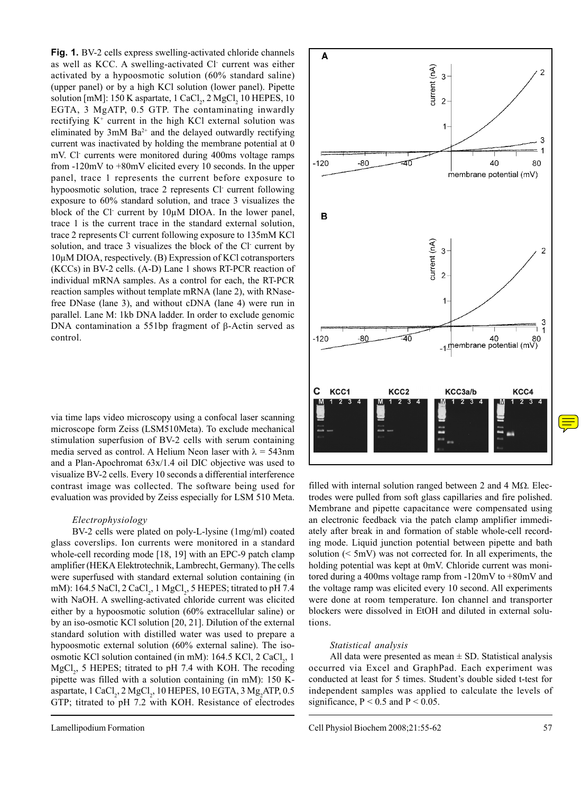**Fig. 1.** BV-2 cells express swelling-activated chloride channels as well as KCC. A swelling-activated Cl- current was either activated by a hypoosmotic solution (60% standard saline) (upper panel) or by a high KCl solution (lower panel). Pipette solution [mM]:  $150$  K aspartate,  $1$  CaCl<sub>2</sub>,  $2$  MgCl<sub>2</sub>  $10$  HEPES,  $10$ EGTA, 3 MgATP, 0.5 GTP. The contaminating inwardly rectifying  $K^+$  current in the high KCl external solution was eliminated by  $3mM$  Ba<sup>2+</sup> and the delayed outwardly rectifying current was inactivated by holding the membrane potential at 0 mV. Cl- currents were monitored during 400ms voltage ramps from -120mV to +80mV elicited every 10 seconds. In the upper panel, trace 1 represents the current before exposure to hypoosmotic solution, trace 2 represents Cl current following exposure to 60% standard solution, and trace 3 visualizes the block of the Cl current by 10µM DIOA. In the lower panel, trace 1 is the current trace in the standard external solution, trace 2 represents Cl- current following exposure to 135mM KCl solution, and trace 3 visualizes the block of the Cl current by 10µM DIOA, respectively. (B) Expression of KCl cotransporters (KCCs) in BV-2 cells. (A-D) Lane 1 shows RT-PCR reaction of individual mRNA samples. As a control for each, the RT-PCR reaction samples without template mRNA (lane 2), with RNasefree DNase (lane 3), and without cDNA (lane 4) were run in parallel. Lane M: 1kb DNA ladder. In order to exclude genomic DNA contamination a 551bp fragment of β-Actin served as control.

via time laps video microscopy using a confocal laser scanning microscope form Zeiss (LSM510Meta). To exclude mechanical stimulation superfusion of BV-2 cells with serum containing media served as control. A Helium Neon laser with  $\lambda = 543$ nm and a Plan-Apochromat 63x/1.4 oil DIC objective was used to visualize BV-2 cells. Every 10 seconds a differential interference contrast image was collected. The software being used for evaluation was provided by Zeiss especially for LSM 510 Meta.

#### *Electrophysiology*

BV-2 cells were plated on poly-L-lysine (1mg/ml) coated glass coverslips. Ion currents were monitored in a standard whole-cell recording mode [18, 19] with an EPC-9 patch clamp amplifier (HEKA Elektrotechnik, Lambrecht, Germany). The cells were superfused with standard external solution containing (in mM): 164.5 NaCl, 2 CaCl<sub>2</sub>, 1 MgCl<sub>2</sub>, 5 HEPES; titrated to pH 7.4 with NaOH. A swelling-activated chloride current was elicited either by a hypoosmotic solution (60% extracellular saline) or by an iso-osmotic KCl solution [20, 21]. Dilution of the external standard solution with distilled water was used to prepare a hypoosmotic external solution (60% external saline). The isoosmotic KCl solution contained (in mM):  $164.5$  KCl,  $2$  CaCl<sub>2</sub>, 1  $MgCl<sub>2</sub>$ , 5 HEPES; titrated to pH 7.4 with KOH. The recoding pipette was filled with a solution containing (in mM): 150 Kaspartate, 1 CaCl<sub>2</sub>, 2 MgCl<sub>2</sub>, 10 HEPES, 10 EGTA, 3 Mg<sub>2</sub>ATP, 0.5 GTP; titrated to pH 7.2 with KOH. Resistance of electrodes



filled with internal solution ranged between 2 and 4 M $\Omega$ . Electrodes were pulled from soft glass capillaries and fire polished. Membrane and pipette capacitance were compensated using an electronic feedback via the patch clamp amplifier immediately after break in and formation of stable whole-cell recording mode. Liquid junction potential between pipette and bath solution (< 5mV) was not corrected for. In all experiments, the holding potential was kept at 0mV. Chloride current was monitored during a 400ms voltage ramp from -120mV to +80mV and the voltage ramp was elicited every 10 second. All experiments were done at room temperature. Ion channel and transporter blockers were dissolved in EtOH and diluted in external solutions.

#### *Statistical analysis*

All data were presented as mean  $\pm$  SD. Statistical analysis occurred via Excel and GraphPad. Each experiment was conducted at least for 5 times. Student's double sided t-test for independent samples was applied to calculate the levels of significance,  $P < 0.5$  and  $P < 0.05$ .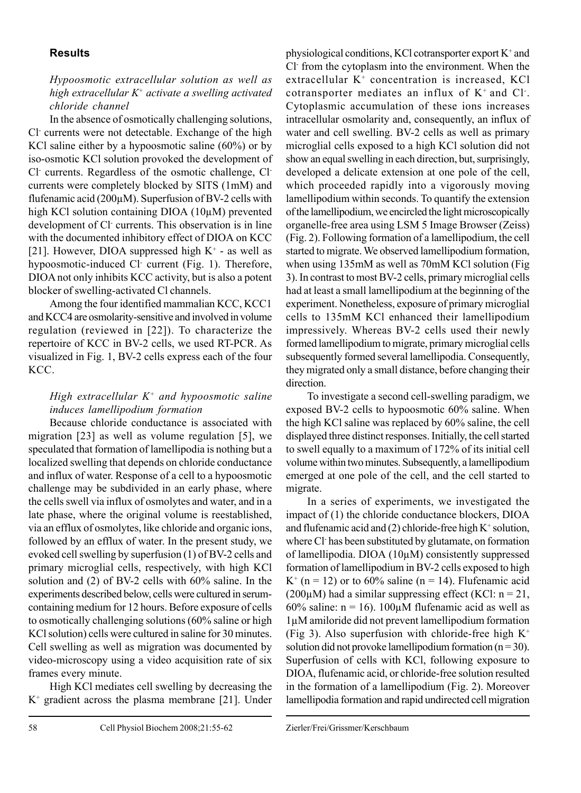## **Results**

## *Hypoosmotic extracellular solution as well as high extracellular K+ activate a swelling activated chloride channel*

In the absence of osmotically challenging solutions, Cl- currents were not detectable. Exchange of the high KCl saline either by a hypoosmotic saline (60%) or by iso-osmotic KCl solution provoked the development of Cl- currents. Regardless of the osmotic challenge, Clcurrents were completely blocked by SITS (1mM) and flufenamic acid (200µM). Superfusion of BV-2 cells with high KCl solution containing DIOA (10µM) prevented development of Cl currents. This observation is in line with the documented inhibitory effect of DIOA on KCC [21]. However, DIOA suppressed high  $K^+$  - as well as hypoosmotic-induced Cl- current (Fig. 1). Therefore, DIOA not only inhibits KCC activity, but is also a potent blocker of swelling-activated Cl channels.

Among the four identified mammalian KCC, KCC1 and KCC4 are osmolarity-sensitive and involved in volume regulation (reviewed in [22]). To characterize the repertoire of KCC in BV-2 cells, we used RT-PCR. As visualized in Fig. 1, BV-2 cells express each of the four KCC.

## *High extracellular K+ and hypoosmotic saline induces lamellipodium formation*

Because chloride conductance is associated with migration [23] as well as volume regulation [5], we speculated that formation of lamellipodia is nothing but a localized swelling that depends on chloride conductance and influx of water. Response of a cell to a hypoosmotic challenge may be subdivided in an early phase, where the cells swell via influx of osmolytes and water, and in a late phase, where the original volume is reestablished, via an efflux of osmolytes, like chloride and organic ions, followed by an efflux of water. In the present study, we evoked cell swelling by superfusion (1) of BV-2 cells and primary microglial cells, respectively, with high KCl solution and (2) of BV-2 cells with 60% saline. In the experiments described below, cells were cultured in serumcontaining medium for 12 hours. Before exposure of cells to osmotically challenging solutions (60% saline or high KCl solution) cells were cultured in saline for 30 minutes. Cell swelling as well as migration was documented by video-microscopy using a video acquisition rate of six frames every minute.

High KCl mediates cell swelling by decreasing the K+ gradient across the plasma membrane [21]. Under

physiological conditions, KCl cotransporter export  $K^+$  and Cl- from the cytoplasm into the environment. When the extracellular  $K^+$  concentration is increased,  $KCl$ cotransporter mediates an influx of  $K^+$  and Cl. Cytoplasmic accumulation of these ions increases intracellular osmolarity and, consequently, an influx of water and cell swelling. BV-2 cells as well as primary microglial cells exposed to a high KCl solution did not show an equal swelling in each direction, but, surprisingly, developed a delicate extension at one pole of the cell, which proceeded rapidly into a vigorously moving lamellipodium within seconds. To quantify the extension of the lamellipodium, we encircled the light microscopically organelle-free area using LSM 5 Image Browser (Zeiss) (Fig. 2). Following formation of a lamellipodium, the cell started to migrate. We observed lamellipodium formation, when using 135mM as well as 70mM KCl solution (Fig 3). In contrast to most BV-2 cells, primary microglial cells had at least a small lamellipodium at the beginning of the experiment. Nonetheless, exposure of primary microglial cells to 135mM KCl enhanced their lamellipodium impressively. Whereas BV-2 cells used their newly formed lamellipodium to migrate, primary microglial cells subsequently formed several lamellipodia. Consequently, they migrated only a small distance, before changing their direction.

To investigate a second cell-swelling paradigm, we exposed BV-2 cells to hypoosmotic 60% saline. When the high KCl saline was replaced by 60% saline, the cell displayed three distinct responses. Initially, the cell started to swell equally to a maximum of 172% of its initial cell volume within two minutes. Subsequently, a lamellipodium emerged at one pole of the cell, and the cell started to migrate.

In a series of experiments, we investigated the impact of (1) the chloride conductance blockers, DIOA and flufenamic acid and  $(2)$  chloride-free high  $K^+$  solution, where Cl<sup>-</sup> has been substituted by glutamate, on formation of lamellipodia. DIOA (10µM) consistently suppressed formation of lamellipodium in BV-2 cells exposed to high  $K^+$  (n = 12) or to 60% saline (n = 14). Flufenamic acid  $(200\mu)$  had a similar suppressing effect (KCl: n = 21, 60% saline:  $n = 16$ ). 100 $\mu$ M flufenamic acid as well as 1µM amiloride did not prevent lamellipodium formation (Fig 3). Also superfusion with chloride-free high  $K^+$ solution did not provoke lamellipodium formation  $(n=30)$ . Superfusion of cells with KCl, following exposure to DIOA, flufenamic acid, or chloride-free solution resulted in the formation of a lamellipodium (Fig. 2). Moreover lamellipodia formation and rapid undirected cell migration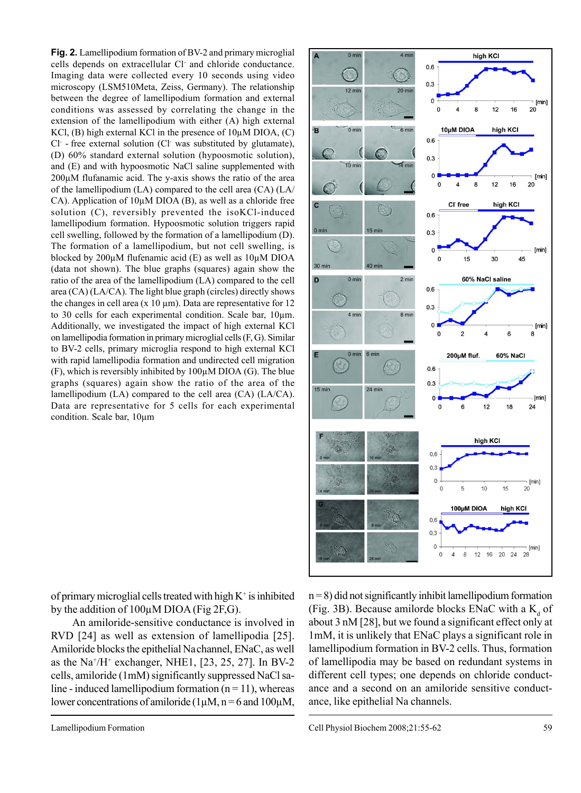**Fig. 2.** Lamellipodium formation of BV-2 and primary microglial cells depends on extracellular Cl- and chloride conductance. Imaging data were collected every 10 seconds using video microscopy (LSM510Meta, Zeiss, Germany). The relationship between the degree of lamellipodium formation and external conditions was assessed by correlating the change in the extension of the lamellipodium with either (A) high external KCl,  $(B)$  high external KCl in the presence of  $10\mu$ M DIOA,  $(C)$ Cl- - free external solution (Cl- was substituted by glutamate), (D) 60% standard external solution (hypoosmotic solution), and (E) and with hypoosmotic NaCl saline supplemented with  $200\mu$ M flufanamic acid. The y-axis shows the ratio of the area of the lamellipodium (LA) compared to the cell area (CA) (LA/ CA). Application of 10µM DIOA (B), as well as a chloride free solution (C), reversibly prevented the isoKCl-induced lamellipodium formation. Hypoosmotic solution triggers rapid cell swelling, followed by the formation of a lamellipodium (D). The formation of a lamellipodium, but not cell swelling, is blocked by 200µM flufenamic acid (E) as well as 10µM DIOA (data not shown). The blue graphs (squares) again show the ratio of the area of the lamellipodium (LA) compared to the cell area (CA) (LA/CA). The light blue graph (circles) directly shows the changes in cell area (x 10  $\mu$ m). Data are representative for 12 to 30 cells for each experimental condition. Scale bar, 10µm. Additionally, we investigated the impact of high external KCl on lamellipodia formation in primary microglial cells (F, G). Similar to BV-2 cells, primary microglia respond to high external KCl with rapid lamellipodia formation and undirected cell migration  $(F)$ , which is reversibly inhibited by 100 $\mu$ M DIOA (G). The blue graphs (squares) again show the ratio of the area of the lamellipodium (LA) compared to the cell area (CA) (LA/CA). Data are representative for 5 cells for each experimental condition. Scale bar, 10µm



of primary microglial cells treated with high  $K^+$  is inhibited by the addition of  $100\mu$ M DIOA (Fig 2F, G).

An amiloride-sensitive conductance is involved in RVD [24] as well as extension of lamellipodia [25]. Amiloride blocks the epithelial Nachannel, ENaC, as well as the Na<sup>+</sup>/H<sup>+</sup> exchanger, NHE1, [23, 25, 27]. In BV-2 cells, amiloride (1mM) significantly suppressed NaCl saline - induced lamellipodium formation  $(n = 11)$ , whereas lower concentrations of amiloride ( $1\mu$ M, n = 6 and  $100\mu$ M,  $n = 8$ ) did not significantly inhibit lamellipodium formation (Fig. 3B). Because amilorde blocks ENaC with a  $K_d$  of about 3 nM [28], but we found a significant effect only at 1mM, it is unlikely that ENaC plays a significant role in lamellipodium formation in BV-2 cells. Thus, formation of lamellipodia may be based on redundant systems in different cell types; one depends on chloride conductance and a second on an amiloride sensitive conductance, like epithelial Na channels.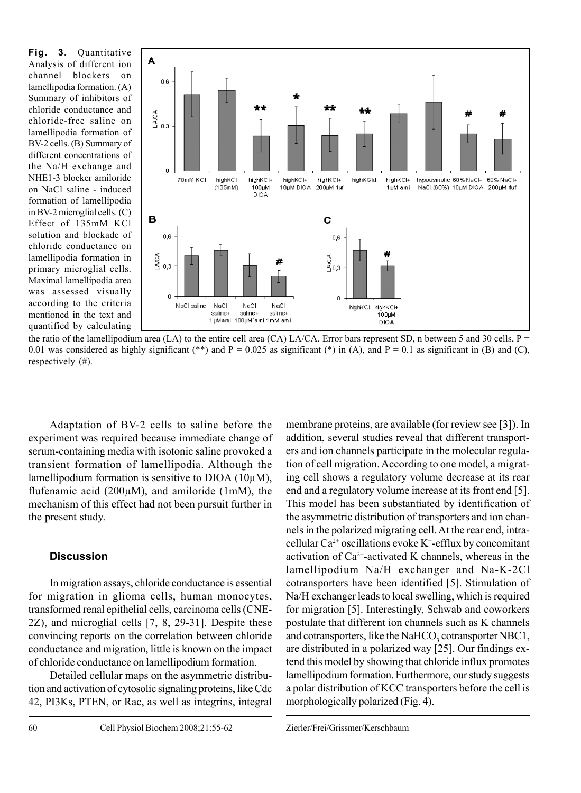**Fig. 3.** Quantitative Analysis of different ion channel blockers on lamellipodia formation. (A) Summary of inhibitors of chloride conductance and chloride-free saline on lamellipodia formation of BV-2 cells. (B) Summary of different concentrations of the Na/H exchange and NHE1-3 blocker amiloride on NaCl saline - induced formation of lamellipodia in BV-2 microglial cells. (C) Effect of 135mM KCl solution and blockade of chloride conductance on lamellipodia formation in primary microglial cells. Maximal lamellipodia area was assessed visually according to the criteria mentioned in the text and quantified by calculating



the ratio of the lamellipodium area (LA) to the entire cell area (CA) LA/CA. Error bars represent SD, n between 5 and 30 cells,  $P =$ 0.01 was considered as highly significant (\*\*) and P = 0.025 as significant (\*) in (A), and P = 0.1 as significant in (B) and (C), respectively (#).

Adaptation of BV-2 cells to saline before the experiment was required because immediate change of serum-containing media with isotonic saline provoked a transient formation of lamellipodia. Although the lamellipodium formation is sensitive to DIOA (10µM), flufenamic acid (200µM), and amiloride (1mM), the mechanism of this effect had not been pursuit further in the present study.

## **Discussion**

In migration assays, chloride conductance is essential for migration in glioma cells, human monocytes, transformed renal epithelial cells, carcinoma cells (CNE-2Z), and microglial cells [7, 8, 29-31]. Despite these convincing reports on the correlation between chloride conductance and migration, little is known on the impact of chloride conductance on lamellipodium formation.

Detailed cellular maps on the asymmetric distribution and activation of cytosolic signaling proteins, like Cdc 42, PI3Ks, PTEN, or Rac, as well as integrins, integral membrane proteins, are available (for review see [3]). In addition, several studies reveal that different transporters and ion channels participate in the molecular regulation of cell migration. According to one model, a migrating cell shows a regulatory volume decrease at its rear end and a regulatory volume increase at its front end [5]. This model has been substantiated by identification of the asymmetric distribution of transporters and ion channels in the polarized migrating cell. At the rear end, intracellular  $Ca^{2+}$  oscillations evoke K<sup>+</sup>-efflux by concomitant activation of  $Ca^{2+}$ -activated K channels, whereas in the lamellipodium Na/H exchanger and Na-K-2Cl cotransporters have been identified [5]. Stimulation of Na/H exchanger leads to local swelling, which is required for migration [5]. Interestingly, Schwab and coworkers postulate that different ion channels such as K channels and cotransporters, like the NaHCO<sub>3</sub> cotransporter NBC1, are distributed in a polarized way [25]. Our findings extend this model by showing that chloride influx promotes lamellipodium formation. Furthermore, our study suggests a polar distribution of KCC transporters before the cell is morphologically polarized (Fig. 4).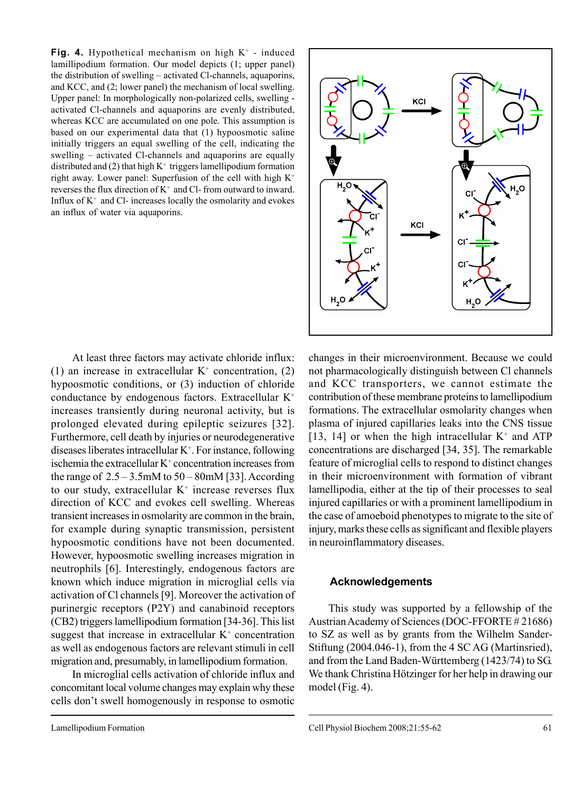**Fig. 4.** Hypothetical mechanism on high K<sup>+</sup> - induced lamillipodium formation. Our model depicts (1; upper panel) the distribution of swelling – activated Cl-channels, aquaporins, and KCC, and (2; lower panel) the mechanism of local swelling. Upper panel: In morphologically non-polarized cells, swelling activated Cl-channels and aquaporins are evenly distributed, whereas KCC are accumulated on one pole. This assumption is based on our experimental data that (1) hypoosmotic saline initially triggers an equal swelling of the cell, indicating the swelling – activated Cl-channels and aquaporins are equally distributed and  $(2)$  that high K<sup>+</sup> triggers lamellipodium formation right away. Lower panel: Superfusion of the cell with high K+ reverses the flux direction of  $K^+$  and Cl- from outward to inward. Influx of  $K^+$  and Cl- increases locally the osmolarity and evokes an influx of water via aquaporins.

KCI  $H.C$ C KCI сr. CI. H.O  $H, O$ 

At least three factors may activate chloride influx: (1) an increase in extracellular  $K^+$  concentration, (2) hypoosmotic conditions, or (3) induction of chloride conductance by endogenous factors. Extracellular K+ increases transiently during neuronal activity, but is prolonged elevated during epileptic seizures [32]. Furthermore, cell death by injuries or neurodegenerative diseases liberates intracellular K+ . For instance, following ischemia the extracellular  $K^+$  concentration increases from the range of  $2.5 - 3.5$ mM to  $50 - 80$ mM [33]. According to our study, extracellular  $K^+$  increase reverses flux direction of KCC and evokes cell swelling. Whereas transient increases in osmolarity are common in the brain, for example during synaptic transmission, persistent hypoosmotic conditions have not been documented. However, hypoosmotic swelling increases migration in neutrophils [6]. Interestingly, endogenous factors are known which induce migration in microglial cells via activation of Cl channels [9]. Moreover the activation of purinergic receptors (P2Y) and canabinoid receptors (CB2) triggers lamellipodium formation [34-36]. This list suggest that increase in extracellular  $K^+$  concentration as well as endogenous factors are relevant stimuli in cell migration and, presumably, in lamellipodium formation.

In microglial cells activation of chloride influx and concomitant local volume changes may explain why these cells don't swell homogenously in response to osmotic changes in their microenvironment. Because we could not pharmacologically distinguish between Cl channels and KCC transporters, we cannot estimate the contribution of these membrane proteins to lamellipodium formations. The extracellular osmolarity changes when plasma of injured capillaries leaks into the CNS tissue [13, 14] or when the high intracellular  $K^+$  and ATP concentrations are discharged [34, 35]. The remarkable feature of microglial cells to respond to distinct changes in their microenvironment with formation of vibrant lamellipodia, either at the tip of their processes to seal injured capillaries or with a prominent lamellipodium in the case of amoeboid phenotypes to migrate to the site of injury, marks these cells as significant and flexible players in neuroinflammatory diseases.

### **Acknowledgements**

This study was supported by a fellowship of the Austrian Academy of Sciences (DOC-FFORTE # 21686) to SZ as well as by grants from the Wilhelm Sander-Stiftung (2004.046-1), from the 4 SC AG (Martinsried), and from the Land Baden-Württemberg (1423/74) to SG. We thank Christina Hötzinger for her help in drawing our model (Fig. 4).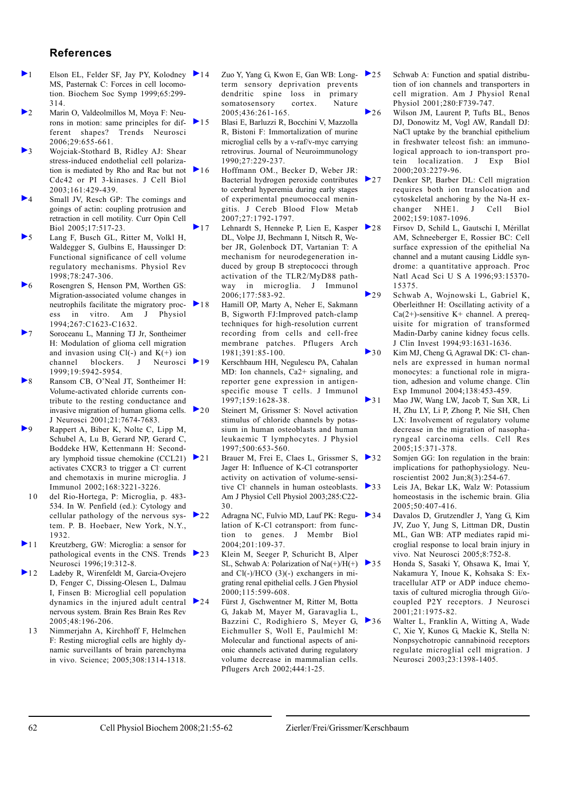#### **References**

- $\blacktriangleright$  1 Elson EL, Felder SF, Jay PY, Kolodney  $\blacktriangleright$  14 MS, Pasternak C: Forces in cell locomotion. Biochem Soc Symp 1999;65:299- 314.
- 2 Marin O, Valdeolmillos M, Moya F: Neurons in motion: same principles for different shapes? Trends Neurosci 2006;29:655-661.
- 3 Wojciak-Stothard B, Ridley AJ: Shear stress-induced endothelial cell polarization is mediated by Rho and Rac but not  $\geq 16$ Cdc42 or PI 3-kinases. J Cell Biol 2003;161:429-439.
- 4 Small JV, Resch GP: The comings and goings of actin: coupling protrusion and retraction in cell motility. Curr Opin Cell Biol 2005;17:517-23.
- 5 Lang F, Busch GL, Ritter M, Volkl H, Waldegger S, Gulbins E, Haussinger D: Functional significance of cell volume regulatory mechanisms. Physiol Rev 1998;78:247-306.
- 6 Rosengren S, Henson PM, Worthen GS: Migration-associated volume changes in neutrophils facilitate the migratory process in vitro. Am J Physiol 1994;267:C1623-C1632.
- 7 Soroceanu L, Manning TJ Jr, Sontheimer H: Modulation of glioma cell migration and invasion using  $Cl(-)$  and  $K(+)$  ion channel blockers. J Neurosci 19 1999;19:5942-5954.
- 8 Ransom CB, O'Neal JT, Sontheimer H: Volume-activated chloride currents contribute to the resting conductance and invasive migration of human glioma cells. J Neurosci 2001;21:7674-7683.
- 9 Rappert A, Biber K, Nolte C, Lipp M, Schubel A, Lu B, Gerard NP, Gerard C, Boddeke HW, Kettenmann H: Secondary lymphoid tissue chemokine (CCL21)  $\geq 21$ activates CXCR3 to trigger a Cl- current and chemotaxis in murine microglia. J Immunol 2002;168:3221-3226.
- 10 del Rio-Hortega, P: Microglia, p. 483- 534. In W. Penfield (ed.): Cytology and cellular pathology of the nervous system. P. B. Hoebaer, New York, N.Y., 1932.
- 11 Kreutzberg, GW: Microglia: a sensor for pathological events in the CNS. Trends 23 Neurosci 1996;19:312-8.
- 12 Ladeby R, Wirenfeldt M, Garcia-Ovejero D, Fenger C, Dissing-Olesen L, Dalmau I, Finsen B: Microglial cell population dynamics in the injured adult central nervous system. Brain Res Brain Res Rev 2005;48:196-206.
- 1 3 Nimmerjahn A, Kirchhoff F, Helmchen F: Resting microglial cells are highly dynamic surveillants of brain parenchyma in vivo. Science; 2005;308:1314-1318.
- Zuo Y, Yang G, Kwon E, Gan WB: Long- $\geq 25$ term sensory deprivation prevents dendritic spine loss in primary somatosensory cortex. Nature 2005;436:261-165.
- 15 Blasi E, Barluzzi R, Bocchini V, Mazzolla R, Bistoni F: Immortalization of murine microglial cells by a v-raf/v-myc carrying retrovirus. Journal of Neuroimmunology 1990;27:229-237.
	- Hoffmann OM., Becker D, Weber JR: Bacterial hydrogen peroxide contributes  $\geq 27$ to cerebral hyperemia during early stages of experimental pneumococcal meningitis. J Cereb Blood Flow Metab 2007;27:1792-1797.
- $\geq 17$  Lehnardt S, Henneke P, Lien E, Kasper  $\geq 28$ DL, Volpe JJ, Bechmann I, Nitsch R, Weber JR, Golenbock DT, Vartanian T: A mechanism for neurodegeneration induced by group B streptococci through activation of the TLR2/MyD88 pathway in microglia. J Immunol 2006;177:583-92.
- 18 Hamill OP, Marty A, Neher E, Sakmann B, Sigworth FJ:Improved patch-clamp techniques for high-resolution current recording from cells and cell-free membrane patches. Pflugers Arch 1981;391:85-100.

Kerschbaum HH, Negulescu PA, Cahalan MD: Ion channels, Ca2+ signaling, and reporter gene expression in antigenspecific mouse T cells. J Immunol 1997;159:1628-38.

- ▶ 20 Steinert M, Grissmer S: Novel activation stimulus of chloride channels by potassium in human osteoblasts and human leukaemic T lymphocytes. J Physiol 1997;500:653-560.
	- Brauer M, Frei E, Claes L, Grissmer S,  $\triangleright$  32 Jager H: Influence of K-Cl cotransporter activity on activation of volume-sensitive Cl- channels in human osteoblasts. Am J Physiol Cell Physiol 2003;285:C22- 30.
- $\geq$  22 Adragna NC, Fulvio MD, Lauf PK: Regu- $\geq$  34 lation of K-Cl cotransport: from function to genes. J Membr Biol 2004;201:109-37.
	- Klein M, Seeger P, Schuricht B, Alper SL, Schwab A: Polarization of Na(+)/H(+) and Cl(-)/HCO (3)(-) exchangers in migrating renal epithelial cells. J Gen Physiol 2000;115:599-608.
- 24 Fürst J, Gschwentner M, Ritter M, Botta G, Jakab M, Mayer M, Garavaglia L, Bazzini C, Rodighiero S, Meyer G, 26 Eichmuller S, Woll E, Paulmichl M: Molecular and functional aspects of anionic channels activated during regulatory volume decrease in mammalian cells. Pflugers Arch 2002;444:1-25.
- Schwab A: Function and spatial distribution of ion channels and transporters in cell migration. Am J Physiol Renal Physiol 2001;280:F739-747.
- 26 Wilson JM, Laurent P, Tufts BL, Benos DJ, Donowitz M, Vogl AW, Randall DJ: NaCl uptake by the branchial epithelium in freshwater teleost fish: an immunological approach to ion-transport protein localization. J Exp Biol 2000;203:2279-96.
	- Denker SP, Barber DL: Cell migration requires both ion translocation and cytoskeletal anchoring by the Na-H ex-<br>changer NHE1. J Cell Biol changer NHE1 J 2002;159:1087-1096.
	- 28 Firsov D, Schild L, Gautschi I, Mérillat AM, Schneeberger E, Rossier BC: Cell surface expression of the epithelial Na channel and a mutant causing Liddle syndrome: a quantitative approach. Proc Natl Acad Sci U S A 1996;93:15370- 15375.
- $\geq$  29 Schwab A, Wojnowski L, Gabriel K, Oberleithner H: Oscillating activity of a  $Ca(2+)$ -sensitive K+ channel. A prerequisite for migration of transformed Madin-Darby canine kidney focus cells. J Clin Invest 1994;93:1631-1636.
- ▶ 30 Kim MJ, Cheng G, Agrawal DK: Cl- channels are expressed in human normal monocytes: a functional role in migration, adhesion and volume change. Clin Exp Immunol 2004;138:453-459.
- 1 Mao JW, Wang LW, Jacob T, Sun XR, Li H, Zhu LY, Li P, Zhong P, Nie SH, Chen LX: Involvement of regulatory volume decrease in the migration of nasopharyngeal carcinoma cells. Cell Res 2005;15:371-378.
	- Somjen GG: Ion regulation in the brain: implications for pathophysiology. Neuroscientist 2002 Jun;8(3):254-67.
	- Leis JA, Bekar LK, Walz W: Potassium homeostasis in the ischemic brain. Glia 2005;50:407-416.
	- Davalos D, Grutzendler J, Yang G, Kim JV, Zuo Y, Jung S, Littman DR, Dustin ML, Gan WB: ATP mediates rapid microglial response to local brain injury in vivo. Nat Neurosci 2005;8:752-8.
- 3 5 Honda S, Sasaki Y, Ohsawa K, Imai Y, Nakamura Y, Inoue K, Kohsaka S: Extracellular ATP or ADP induce chemotaxis of cultured microglia through Gi/ocoupled P2Y receptors. J Neurosci 2001;21:1975-82.
	- Walter L, Franklin A, Witting A, Wade C, Xie Y, Kunos G, Mackie K, Stella N: Nonpsychotropic cannabinoid receptors regulate microglial cell migration. J Neurosci 2003;23:1398-1405.